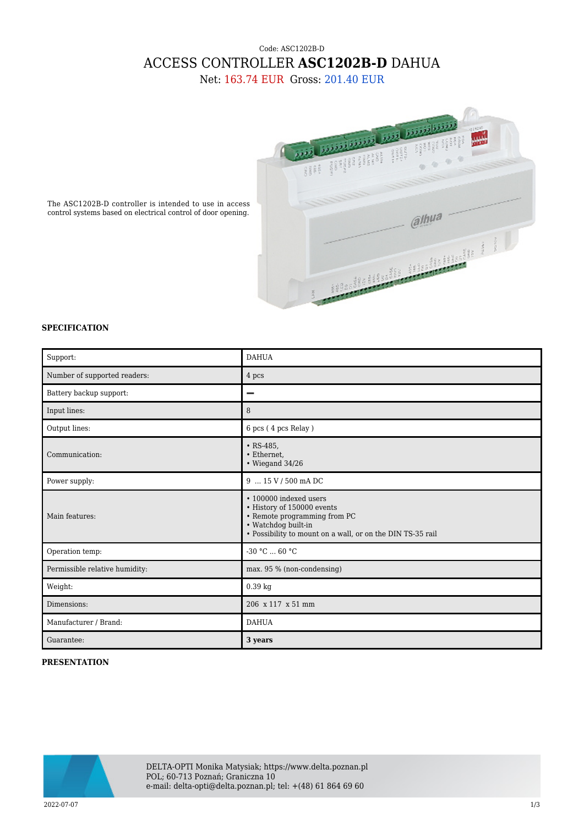## Code: ASC1202B-D ACCESS CONTROLLER **ASC1202B-D** DAHUA

Net: 163.74 EUR Gross: 201.40 EUR



The ASC1202B-D controller is intended to use in access control systems based on electrical control of door opening.

## **SPECIFICATION**

| Support:                       | <b>DAHUA</b>                                                                                                                                                              |
|--------------------------------|---------------------------------------------------------------------------------------------------------------------------------------------------------------------------|
| Number of supported readers:   | 4 pcs                                                                                                                                                                     |
| Battery backup support:        |                                                                                                                                                                           |
| Input lines:                   | 8                                                                                                                                                                         |
| Output lines:                  | 6 pcs (4 pcs Relay)                                                                                                                                                       |
| Communication:                 | $\cdot$ RS-485,<br>• Ethernet,<br>$\bullet$ Wiegand 34/26                                                                                                                 |
| Power supply:                  | 9  15 V / 500 mA DC                                                                                                                                                       |
| Main features:                 | • 100000 indexed users<br>• History of 150000 events<br>• Remote programming from PC<br>• Watchdog built-in<br>• Possibility to mount on a wall, or on the DIN TS-35 rail |
| Operation temp:                | $-30 °C  60 °C$                                                                                                                                                           |
| Permissible relative humidity: | max. 95 % (non-condensing)                                                                                                                                                |
| Weight:                        | $0.39$ kg                                                                                                                                                                 |
| Dimensions:                    | 206 x 117 x 51 mm                                                                                                                                                         |
| Manufacturer / Brand:          | <b>DAHUA</b>                                                                                                                                                              |
| Guarantee:                     | 3 years                                                                                                                                                                   |

## **PRESENTATION**



DELTA-OPTI Monika Matysiak; https://www.delta.poznan.pl POL; 60-713 Poznań; Graniczna 10 e-mail: delta-opti@delta.poznan.pl; tel: +(48) 61 864 69 60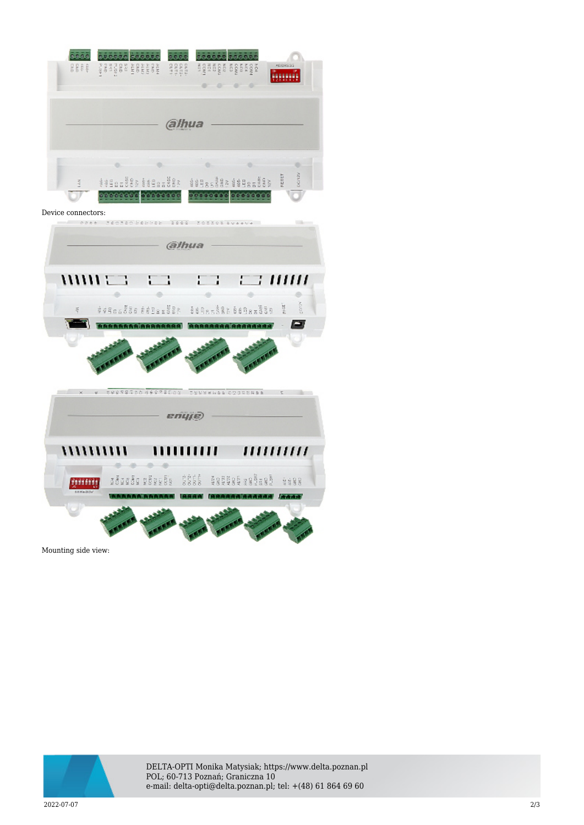| مققققة فقققق<br>6666<br><u>čááčá sááčá</u><br>sses (sagskjestes) saas i aansproses<br>ADDRESS<br>$\alpha$<br>$\circ$<br>× |
|---------------------------------------------------------------------------------------------------------------------------|
|                                                                                                                           |
| (a)hua                                                                                                                    |
| ponzy<br>FLOET<br>\$\$9985888\$\$985888 \$\$98888\$\$9985888                                                              |
| Device connectors:                                                                                                        |
| edet Zecheckent 2223 issued control availa                                                                                |
| (a)hua                                                                                                                    |
| $1111111 \pm 3$<br>П<br>е нин<br>ì<br>##Boof8a ##Bas888   \$\$Res\$#&\$\$Res\$88   E<br>ğ                                 |
| <b>FREE</b>                                                                                                               |
|                                                                                                                           |
| enyje)                                                                                                                    |
| ,,,,,,,,,,,<br>,,,,,,,,,,<br>,,,,,,,,,,                                                                                   |
| adaada adaaba 8868<br><b>Egenese</b> webset<br>활활물물                                                                       |
|                                                                                                                           |
|                                                                                                                           |

Mounting side view:



DELTA-OPTI Monika Matysiak; https://www.delta.poznan.pl POL; 60-713 Poznań; Graniczna 10 e-mail: delta-opti@delta.poznan.pl; tel: +(48) 61 864 69 60

2022-07-07 2/3